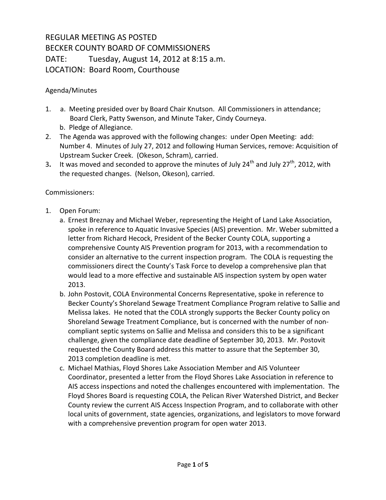## REGULAR MEETING AS POSTED BECKER COUNTY BOARD OF COMMISSIONERS DATE: Tuesday, August 14, 2012 at 8:15 a.m. LOCATION: Board Room, Courthouse

## Agenda/Minutes

- 1. a. Meeting presided over by Board Chair Knutson. All Commissioners in attendance; Board Clerk, Patty Swenson, and Minute Taker, Cindy Courneya.
	- b. Pledge of Allegiance.
- 2. The Agenda was approved with the following changes: under Open Meeting: add: Number 4. Minutes of July 27, 2012 and following Human Services, remove: Acquisition of Upstream Sucker Creek. (Okeson, Schram), carried.
- 3. It was moved and seconded to approve the minutes of July 24<sup>th</sup> and July 27<sup>th</sup>, 2012, with the requested changes. (Nelson, Okeson), carried.

## Commissioners:

- 1. Open Forum:
	- a. Ernest Breznay and Michael Weber, representing the Height of Land Lake Association, spoke in reference to Aquatic Invasive Species (AIS) prevention. Mr. Weber submitted a letter from Richard Hecock, President of the Becker County COLA, supporting a comprehensive County AIS Prevention program for 2013, with a recommendation to consider an alternative to the current inspection program. The COLA is requesting the commissioners direct the County's Task Force to develop a comprehensive plan that would lead to a more effective and sustainable AIS inspection system by open water 2013.
	- b. John Postovit, COLA Environmental Concerns Representative, spoke in reference to Becker County's Shoreland Sewage Treatment Compliance Program relative to Sallie and Melissa lakes. He noted that the COLA strongly supports the Becker County policy on Shoreland Sewage Treatment Compliance, but is concerned with the number of noncompliant septic systems on Sallie and Melissa and considers this to be a significant challenge, given the compliance date deadline of September 30, 2013. Mr. Postovit requested the County Board address this matter to assure that the September 30, 2013 completion deadline is met.
	- c. Michael Mathias, Floyd Shores Lake Association Member and AIS Volunteer Coordinator, presented a letter from the Floyd Shores Lake Association in reference to AIS access inspections and noted the challenges encountered with implementation. The Floyd Shores Board is requesting COLA, the Pelican River Watershed District, and Becker County review the current AIS Access Inspection Program, and to collaborate with other local units of government, state agencies, organizations, and legislators to move forward with a comprehensive prevention program for open water 2013.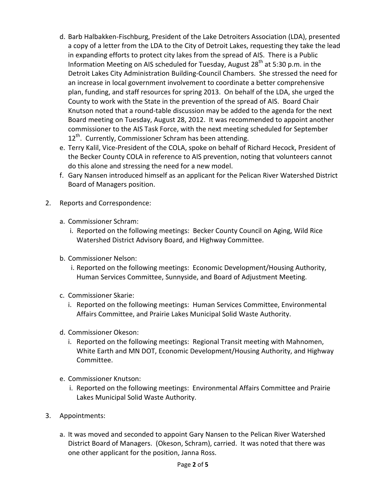- d. Barb Halbakken-Fischburg, President of the Lake Detroiters Association (LDA), presented a copy of a letter from the LDA to the City of Detroit Lakes, requesting they take the lead in expanding efforts to protect city lakes from the spread of AIS. There is a Public Information Meeting on AIS scheduled for Tuesday, August  $28<sup>th</sup>$  at 5:30 p.m. in the Detroit Lakes City Administration Building-Council Chambers. She stressed the need for an increase in local government involvement to coordinate a better comprehensive plan, funding, and staff resources for spring 2013. On behalf of the LDA, she urged the County to work with the State in the prevention of the spread of AIS. Board Chair Knutson noted that a round-table discussion may be added to the agenda for the next Board meeting on Tuesday, August 28, 2012.It was recommended to appoint another commissioner to the AIS Task Force, with the next meeting scheduled for September  $12<sup>th</sup>$ . Currently, Commissioner Schram has been attending.
- e. Terry Kalil, Vice-President of the COLA, spoke on behalf of Richard Hecock, President of the Becker County COLA in reference to AIS prevention, noting that volunteers cannot do this alone and stressing the need for a new model.
- f. Gary Nansen introduced himself as an applicant for the Pelican River Watershed District Board of Managers position.
- 2. Reports and Correspondence:
	- a. Commissioner Schram:
		- i. Reported on the following meetings: Becker County Council on Aging, Wild Rice Watershed District Advisory Board, and Highway Committee.
	- b. Commissioner Nelson:
		- i. Reported on the following meetings: Economic Development/Housing Authority, Human Services Committee, Sunnyside, and Board of Adjustment Meeting.
	- c. Commissioner Skarie:
		- i. Reported on the following meetings: Human Services Committee, Environmental Affairs Committee, and Prairie Lakes Municipal Solid Waste Authority.
	- d. Commissioner Okeson:
		- i. Reported on the following meetings: Regional Transit meeting with Mahnomen, White Earth and MN DOT, Economic Development/Housing Authority, and Highway Committee.
	- e. Commissioner Knutson:
		- i. Reported on the following meetings: Environmental Affairs Committee and Prairie Lakes Municipal Solid Waste Authority.
- 3. Appointments:
	- a. It was moved and seconded to appoint Gary Nansen to the Pelican River Watershed District Board of Managers. (Okeson, Schram), carried. It was noted that there was one other applicant for the position, Janna Ross.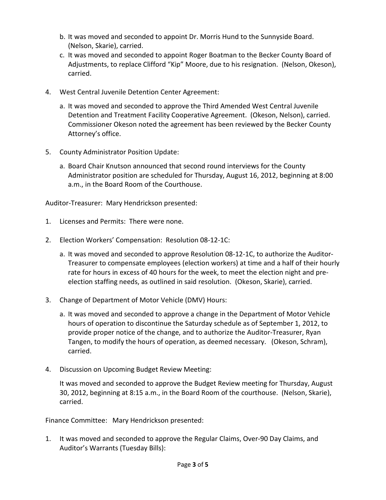- b. It was moved and seconded to appoint Dr. Morris Hund to the Sunnyside Board. (Nelson, Skarie), carried.
- c. It was moved and seconded to appoint Roger Boatman to the Becker County Board of Adjustments, to replace Clifford "Kip" Moore, due to his resignation. (Nelson, Okeson), carried.
- 4. West Central Juvenile Detention Center Agreement:
	- a. It was moved and seconded to approve the Third Amended West Central Juvenile Detention and Treatment Facility Cooperative Agreement. (Okeson, Nelson), carried. Commissioner Okeson noted the agreement has been reviewed by the Becker County Attorney's office.
- 5. County Administrator Position Update:
	- a. Board Chair Knutson announced that second round interviews for the County Administrator position are scheduled for Thursday, August 16, 2012, beginning at 8:00 a.m., in the Board Room of the Courthouse.

Auditor-Treasurer: Mary Hendrickson presented:

- 1. Licenses and Permits: There were none.
- 2. Election Workers' Compensation: Resolution 08-12-1C:
	- a. It was moved and seconded to approve Resolution 08-12-1C, to authorize the Auditor-Treasurer to compensate employees (election workers) at time and a half of their hourly rate for hours in excess of 40 hours for the week, to meet the election night and preelection staffing needs, as outlined in said resolution. (Okeson, Skarie), carried.
- 3. Change of Department of Motor Vehicle (DMV) Hours:
	- a. It was moved and seconded to approve a change in the Department of Motor Vehicle hours of operation to discontinue the Saturday schedule as of September 1, 2012, to provide proper notice of the change, and to authorize the Auditor-Treasurer, Ryan Tangen, to modify the hours of operation, as deemed necessary. (Okeson, Schram), carried.
- 4. Discussion on Upcoming Budget Review Meeting:

It was moved and seconded to approve the Budget Review meeting for Thursday, August 30, 2012, beginning at 8:15 a.m., in the Board Room of the courthouse. (Nelson, Skarie), carried.

Finance Committee: Mary Hendrickson presented:

1. It was moved and seconded to approve the Regular Claims, Over-90 Day Claims, and Auditor's Warrants (Tuesday Bills):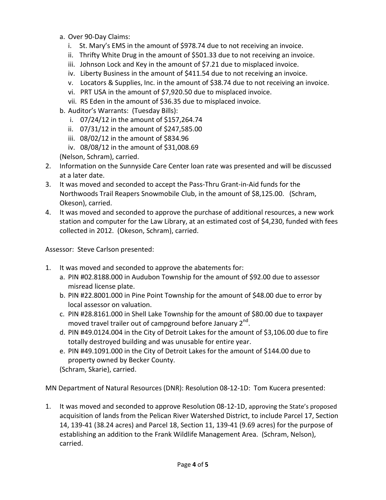- a. Over 90-Day Claims:
	- i. St. Mary's EMS in the amount of \$978.74 due to not receiving an invoice.
	- ii. Thrifty White Drug in the amount of \$501.33 due to not receiving an invoice.
	- iii. Johnson Lock and Key in the amount of \$7.21 due to misplaced invoice.
	- iv. Liberty Business in the amount of \$411.54 due to not receiving an invoice.
	- v. Locators & Supplies, Inc. in the amount of \$38.74 due to not receiving an invoice.
	- vi. PRT USA in the amount of \$7,920.50 due to misplaced invoice.
	- vii. RS Eden in the amount of \$36.35 due to misplaced invoice.
- b. Auditor's Warrants: (Tuesday Bills):
	- i. 07/24/12 in the amount of \$157,264.74
	- ii. 07/31/12 in the amount of \$247,585.00
	- iii. 08/02/12 in the amount of \$834.96
	- iv. 08/08/12 in the amount of \$31,008.69
- (Nelson, Schram), carried.
- 2. Information on the Sunnyside Care Center loan rate was presented and will be discussed at a later date.
- 3. It was moved and seconded to accept the Pass-Thru Grant-in-Aid funds for the Northwoods Trail Reapers Snowmobile Club, in the amount of \$8,125.00. (Schram, Okeson), carried.
- 4. It was moved and seconded to approve the purchase of additional resources, a new work station and computer for the Law Library, at an estimated cost of \$4,230, funded with fees collected in 2012. (Okeson, Schram), carried.

Assessor: Steve Carlson presented:

- 1. It was moved and seconded to approve the abatements for:
	- a. PIN #02.8188.000 in Audubon Township for the amount of \$92.00 due to assessor misread license plate.
	- b. PIN #22.8001.000 in Pine Point Township for the amount of \$48.00 due to error by local assessor on valuation.
	- c. PIN #28.8161.000 in Shell Lake Township for the amount of \$80.00 due to taxpayer moved travel trailer out of campground before January  $2^{nd}$ .
	- d. PIN #49.0124.004 in the City of Detroit Lakes for the amount of \$3,106.00 due to fire totally destroyed building and was unusable for entire year.
	- e. PIN #49.1091.000 in the City of Detroit Lakes for the amount of \$144.00 due to property owned by Becker County.

(Schram, Skarie), carried.

MN Department of Natural Resources (DNR): Resolution 08-12-1D: Tom Kucera presented:

1. It was moved and seconded to approve Resolution 08-12-1D, approving the State's proposed acquisition of lands from the Pelican River Watershed District, to include Parcel 17, Section 14, 139-41 (38.24 acres) and Parcel 18, Section 11, 139-41 (9.69 acres) for the purpose of establishing an addition to the Frank Wildlife Management Area. (Schram, Nelson), carried.